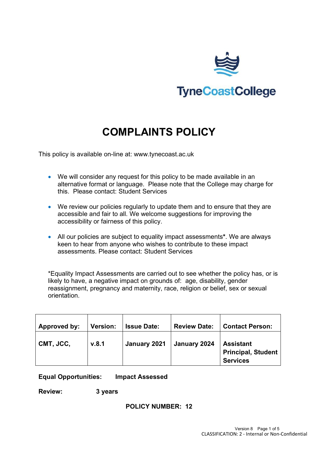

# **COMPLAINTS POLICY**

This policy is available on-line at: www.tynecoast.ac.uk

- We will consider any request for this policy to be made available in an alternative format or language. Please note that the College may charge for this. Please contact: Student Services
- We review our policies regularly to update them and to ensure that they are accessible and fair to all. We welcome suggestions for improving the accessibility or fairness of this policy.
- All our policies are subject to equality impact assessments**\***. We are always keen to hear from anyone who wishes to contribute to these impact assessments. Please contact: Student Services

\*Equality Impact Assessments are carried out to see whether the policy has, or is likely to have, a negative impact on grounds of: age, disability, gender reassignment, pregnancy and maternity, race, religion or belief, sex or sexual orientation.

| Approved by: | <b>Version:</b> | <b>Issue Date:</b> | <b>Review Date:</b> | <b>Contact Person:</b>                                           |
|--------------|-----------------|--------------------|---------------------|------------------------------------------------------------------|
| CMT, JCC,    | v.8.1           | January 2021       | January 2024        | <b>Assistant</b><br><b>Principal, Student</b><br><b>Services</b> |

**Equal Opportunities: Impact Assessed**

**Review: 3 years**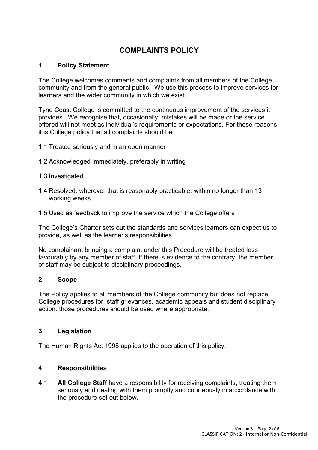# **COMPLAINTS POLICY**

## **1 Policy Statement**

The College welcomes comments and complaints from all members of the College community and from the general public. We use this process to improve services for learners and the wider community in which we exist.

Tyne Coast College is committed to the continuous improvement of the services it provides. We recognise that, occasionally, mistakes will be made or the service offered will not meet as individual's requirements or expectations. For these reasons it is College policy that all complaints should be:

- 1.1 Treated seriously and in an open manner
- 1.2 Acknowledged immediately, preferably in writing
- 1.3 Investigated
- 1.4 Resolved, wherever that is reasonably practicable, within no longer than 13 working weeks
- 1.5 Used as feedback to improve the service which the College offers

The College's Charter sets out the standards and services learners can expect us to provide, as well as the learner's responsibilities.

No complainant bringing a complaint under this Procedure will be treated less favourably by any member of staff. If there is evidence to the contrary, the member of staff may be subject to disciplinary proceedings.

#### **2 Scope**

The Policy applies to all members of the College community but does not replace College procedures for, staff grievances, academic appeals and student disciplinary action: those procedures should be used where appropriate.

#### **3 Legislation**

The Human Rights Act 1998 applies to the operation of this policy.

#### **4 Responsibilities**

4.1 **All College Staff** have a responsibility for receiving complaints, treating them seriously and dealing with them promptly and courteously in accordance with the procedure set out below.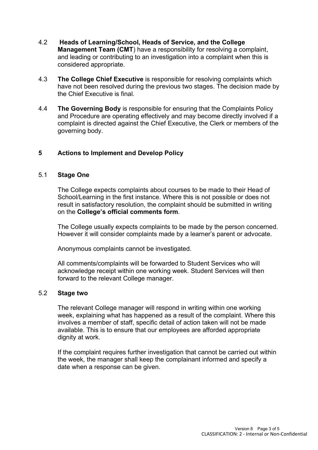- 4.2 **Heads of Learning/School, Heads of Service, and the College Management Team (CMT**) have a responsibility for resolving a complaint, and leading or contributing to an investigation into a complaint when this is considered appropriate.
- 4.3 **The College Chief Executive** is responsible for resolving complaints which have not been resolved during the previous two stages. The decision made by the Chief Executive is final.
- 4.4 **The Governing Body** is responsible for ensuring that the Complaints Policy and Procedure are operating effectively and may become directly involved if a complaint is directed against the Chief Executive, the Clerk or members of the governing body.

## **5 Actions to Implement and Develop Policy**

#### 5.1 **Stage One**

The College expects complaints about courses to be made to their Head of School/Learning in the first instance. Where this is not possible or does not result in satisfactory resolution, the complaint should be submitted in writing on the **College's official comments form**.

The College usually expects complaints to be made by the person concerned. However it will consider complaints made by a learner's parent or advocate.

Anonymous complaints cannot be investigated.

All comments/complaints will be forwarded to Student Services who will acknowledge receipt within one working week. Student Services will then forward to the relevant College manager.

#### 5.2 **Stage two**

The relevant College manager will respond in writing within one working week, explaining what has happened as a result of the complaint. Where this involves a member of staff, specific detail of action taken will not be made available. This is to ensure that our employees are afforded appropriate dignity at work.

If the complaint requires further investigation that cannot be carried out within the week, the manager shall keep the complainant informed and specify a date when a response can be given.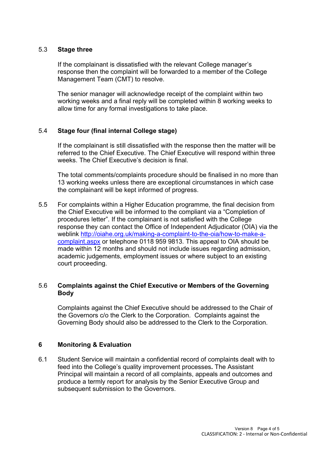#### 5.3 **Stage three**

If the complainant is dissatisfied with the relevant College manager's response then the complaint will be forwarded to a member of the College Management Team (CMT) to resolve.

The senior manager will acknowledge receipt of the complaint within two working weeks and a final reply will be completed within 8 working weeks to allow time for any formal investigations to take place.

#### 5.4 **Stage four (final internal College stage)**

If the complainant is still dissatisfied with the response then the matter will be referred to the Chief Executive. The Chief Executive will respond within three weeks. The Chief Executive's decision is final.

The total comments/complaints procedure should be finalised in no more than 13 working weeks unless there are exceptional circumstances in which case the complainant will be kept informed of progress.

5.5 For complaints within a Higher Education programme, the final decision from the Chief Executive will be informed to the compliant via a "Completion of procedures letter". If the complainant is not satisfied with the College response they can contact the Office of Independent Adjudicator (OIA) via the weblink [http://oiahe.org.uk/making-a-complaint-to-the-oia/how-to-make-a](http://oiahe.org.uk/making-a-complaint-to-the-oia/how-to-make-a-complaint.aspx)[complaint.aspx](http://oiahe.org.uk/making-a-complaint-to-the-oia/how-to-make-a-complaint.aspx) or telephone 0118 959 9813. This appeal to OIA should be made within 12 months and should not include issues regarding admission, academic judgements, employment issues or where subject to an existing court proceeding.

#### 5.6 **Complaints against the Chief Executive or Members of the Governing Body**

Complaints against the Chief Executive should be addressed to the Chair of the Governors c/o the Clerk to the Corporation. Complaints against the Governing Body should also be addressed to the Clerk to the Corporation.

#### **6 Monitoring & Evaluation**

6.1 Student Service will maintain a confidential record of complaints dealt with to feed into the College's quality improvement processes**.** The Assistant Principal will maintain a record of all complaints, appeals and outcomes and produce a termly report for analysis by the Senior Executive Group and subsequent submission to the Governors.